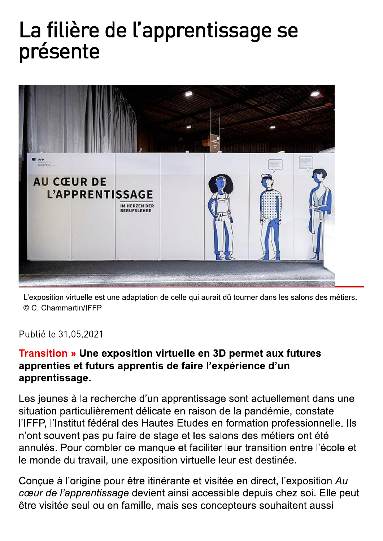## La filière de l'apprentissage se présente



L'exposition virtuelle est une adaptation de celle qui aurait dû tourner dans les salons des métiers. © C. Chammartin/IFFP

Publié le 31.05.2021

## **Transition » Une exposition virtuelle en 3D permet aux futures** apprenties et futurs apprentis de faire l'expérience d'un apprentissage.

Les jeunes à la recherche d'un apprentissage sont actuellement dans une situation particulièrement délicate en raison de la pandémie, constate l'IFFP, l'Institut fédéral des Hautes Etudes en formation professionnelle. Ils n'ont souvent pas pu faire de stage et les salons des métiers ont été annulés. Pour combler ce manque et faciliter leur transition entre l'école et le monde du travail, une exposition virtuelle leur est destinée.

Concue à l'origine pour être itinérante et visitée en direct. l'exposition Au cœur de l'apprentissage devient ainsi accessible depuis chez soi. Elle peut être visitée seul ou en famille, mais ses concepteurs souhaitent aussi